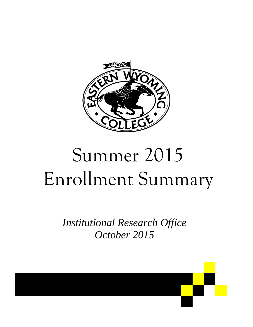

# Summer 2015 Enrollment Summary

*Institutional Research Office October 2015*

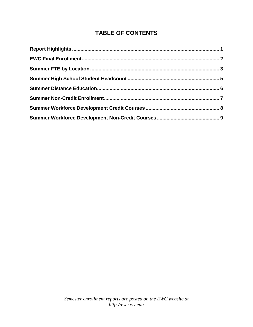#### **TABLE OF CONTENTS**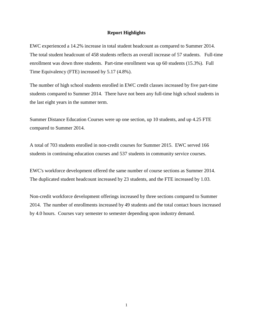#### **Report Highlights**

EWC experienced a 14.2% increase in total student headcount as compared to Summer 2014. The total student headcount of 458 students reflects an overall increase of 57 students. Full-time enrollment was down three students. Part-time enrollment was up 60 students (15.3%). Full Time Equivalency (FTE) increased by 5.17 (4.8%).

The number of high school students enrolled in EWC credit classes increased by five part-time students compared to Summer 2014. There have not been any full-time high school students in the last eight years in the summer term.

Summer Distance Education Courses were up one section, up 10 students, and up 4.25 FTE compared to Summer 2014.

A total of 703 students enrolled in non-credit courses for Summer 2015. EWC served 166 students in continuing education courses and 537 students in community service courses.

EWC's workforce development offered the same number of course sections as Summer 2014. The duplicated student headcount increased by 23 students, and the FTE increased by 1.03.

Non-credit workforce development offerings increased by three sections compared to Summer 2014. The number of enrollments increased by 49 students and the total contact hours increased by 4.0 hours. Courses vary semester to semester depending upon industry demand.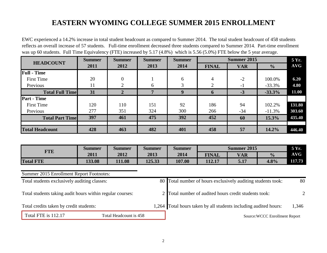## **EASTERN WYOMING COLLEGE SUMMER 2015 ENROLLMENT**

EWC experienced a 14.2% increase in total student headcount as compared to Summer 2014. The total student headcount of 458 students reflects an overall increase of 57 students. Full-time enrollment decreased three students compared to Summer 2014. Part-time enrollment was up 60 students. Full Time Equivalency (FTE) increased by 5.17 (4.8%) which is 5.56 (5.0%) FTE below the 5 year average.

| <b>HEADCOUNT</b>       | <b>Summer</b> | <b>Summer</b>  | <b>Summer</b> | <b>Summer</b> |                | Summer 2015 |               | 5 Yr.  |
|------------------------|---------------|----------------|---------------|---------------|----------------|-------------|---------------|--------|
|                        | 2011          | 2012           | 2013          | 2014          | <b>FINAL</b>   | <b>VAR</b>  | $\frac{1}{2}$ | AVG    |
| <b>Full - Time</b>     |               |                |               |               |                |             |               |        |
| <b>First Time</b>      | 20            | $\overline{0}$ |               | 6             | $\overline{4}$ | $-2$        | 100.0%        | 6.20   |
| Previous               | 11            | $\mathcal{D}$  | 6             | 3             | $\overline{2}$ | $-1$        | $-33.3%$      | 4.80   |
| <b>Total Full Time</b> | 31            | $\overline{2}$ | 7             | 9             | $\mathbf{6}$   | $-3$        | $-33.3%$      | 11.00  |
| <b>Part - Time</b>     |               |                |               |               |                |             |               |        |
| <b>First Time</b>      | 120           | 110            | 151           | 92            | 186            | 94          | 102.2%        | 131.80 |
| Previous               | 277           | 351            | 324           | 300           | 266            | $-34$       | $-11.3%$      | 303.60 |
| <b>Total Part Time</b> | 397           | 461            | 475           | 392           | 452            | 60          | 15.3%         | 435.40 |
|                        |               |                |               |               |                |             |               |        |
| <b>Total Headcount</b> | 428           | 463            | 482           | 401           | 458            | 57          | 14.2%         | 446.40 |

|                  | Summer | <b>Summer</b> | Summer | Summer | <b>Summer 2015</b> |            |               | 5 Yr.      |
|------------------|--------|---------------|--------|--------|--------------------|------------|---------------|------------|
| <b>FTE</b>       | 2011   | 2012          | 2013   | 2014   | <b>FINAL</b>       | <b>VAR</b> | $\frac{0}{0}$ | <b>AVG</b> |
| <b>Total FTE</b> | 133.08 | 111.08        | 125.33 | 107.00 | 112.17             | 5.17       | 4.8%          | 117.73     |

#### Summer 2015 Enrollment Report Footnotes:

|                                               | Total students exclusively auditing classes:              |  | 80 Total number of hours exclusively auditing students took:     | 80    |
|-----------------------------------------------|-----------------------------------------------------------|--|------------------------------------------------------------------|-------|
|                                               | Total students taking audit hours within regular courses: |  | 2 Total number of audited hours credit students took:            |       |
|                                               | Total credits taken by credit students:                   |  | 1,264 Total hours taken by all students including audited hours: | 1,346 |
| Total FTE is 112.17<br>Total Headcount is 458 |                                                           |  | Source: WCCC Enrollment Report                                   |       |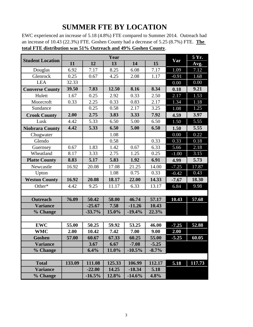### **SUMMER FTE BY LOCATION**

EWC experienced an increase of 5.18 (4.8%) FTE compared to Summer 2014. Outreach had an increase of 10.43 (22.3%) FTE. Goshen County had a decrease of 5.25 (8.7%) FTE. **The total FTE distribution was 51% Outreach and 49% Goshen County**.

|                         |        |          | Year   |          |         |         | 5 Yr.  |
|-------------------------|--------|----------|--------|----------|---------|---------|--------|
| <b>Student Location</b> | 11     | 12       | 13     | 14       | 15      | Var     | Avg.   |
| Douglas                 | 6.92   | 7.17     | 8.25   | 6.08     | 7.17    | 1.09    | 7.12   |
| Glenrock                | 0.25   | 0.67     | 4.25   | 2.08     | 1.17    | $-0.91$ | 1.68   |
| <b>LEA</b>              | 32.33  |          |        |          |         | 0.00    | 0.00   |
| <b>Converse County</b>  | 39.50  | 7.83     | 12.50  | 8.16     | 8.34    | 0.18    | 9.21   |
| Hulett                  | 1.67   | 0.25     | 2.92   | 0.33     | 2.50    | 2.17    | 1.53   |
| Moorcroft               | 0.33   | 2.25     | 0.33   | 0.83     | 2.17    | 1.34    | 1.18   |
| Sundance                |        | 0.25     | 0.58   | 2.17     | 3.25    | 1.08    | 1.25   |
| <b>Crook County</b>     | 2.00   | 2.75     | 3.83   | 3.33     | 7.92    | 4.59    | 3.97   |
| Lusk                    | 4.42   | 5.33     | 6.50   | 5.00     | 6.50    | 1.50    | 5.55   |
| <b>Niobrara County</b>  | 4.42   | 5.33     | 6.50   | 5.00     | 6.50    | 1.50    | 5.55   |
| Chugwater               |        |          | 1.08   |          |         | 0.00    | 0.22   |
| Glendo                  |        |          | 0.58   |          | 0.33    | 0.33    | 0.18   |
| Guernsey                | 0.67   | 1.83     | 1.42   | 0.67     | 6.33    | 5.66    | 2.18   |
| Wheatland               | 8.17   | 3.33     | 2.75   | 1.25     | 0.25    | $-1.00$ | 3.15   |
| <b>Platte County</b>    | 8.83   | 5.17     | 5.83   | 1.92     | 6.91    | 4.99    | 5.73   |
| Newcastle               | 16.92  | 20.08    | 17.08  | 21.25    | 14.00   | $-7.25$ | 17.87  |
| Upton                   |        |          | 1.08   | 0.75     | 0.33    | $-0.42$ | 0.43   |
| <b>Weston County</b>    | 16.92  | 20.08    | 18.17  | 22.00    | 14.33   | $-7.67$ | 18.30  |
| Other*                  | 4.42   | 9.25     | 11.17  | 6.33     | 13.17   | 6.84    | 9.98   |
|                         |        |          |        |          |         |         |        |
| <b>Outreach</b>         | 76.09  | 50.42    | 58.00  | 46.74    | 57.17   | 10.43   | 57.68  |
| <b>Variance</b>         |        | $-25.67$ | 7.58   | $-11.26$ | 10.43   |         |        |
| % Change                |        | $-33.7%$ | 15.0%  | $-19.4%$ | 22.3%   |         |        |
|                         |        |          |        |          |         |         |        |
| <b>EWC</b>              | 55.00  | 50.25    | 59.92  | 53.25    | 46.00   | $-7.25$ | 52.88  |
| <b>WMC</b>              | 2.00   | 10.42    | 7.42   | 7.00     | 9.00    | 2.00    |        |
| Goshen                  | 57.00  | 60.67    | 67.33  | 60.25    | 55.00   | $-5.25$ | 60.05  |
| <b>Variance</b>         |        | 3.67     | 6.67   | $-7.08$  | $-5.25$ |         |        |
| % Change                |        | 6.4%     | 11.0%  | $-10.5%$ | $-8.7%$ |         |        |
|                         |        |          |        |          |         |         |        |
| <b>Total</b>            | 133.09 | 111.08   | 125.33 | 106.99   | 112.17  | 5.18    | 117.73 |
| <b>Variance</b>         |        | $-22.00$ | 14.25  | $-18.34$ | 5.18    |         |        |
| % Change                |        | $-16.5%$ | 12.8%  | $-14.6%$ | 4.8%    |         |        |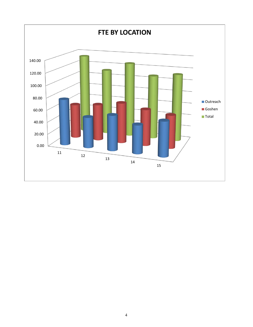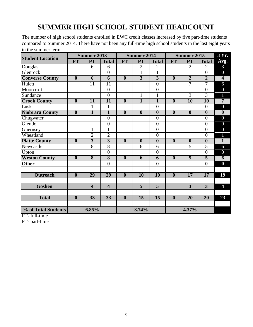# **SUMMER HIGH SCHOOL STUDENT HEADCOUNT**

The number of high school students enrolled in EWC credit classes increased by five part-time students compared to Summer 2014. There have not been any full-time high school students in the last eight years in the summer term.

|                         |                         | <b>Summer 2013</b>      |                         |                         | <b>Summer 2014</b>      |                         |                         | <b>Summer 2015</b> |                         | 3 Yr.                   |
|-------------------------|-------------------------|-------------------------|-------------------------|-------------------------|-------------------------|-------------------------|-------------------------|--------------------|-------------------------|-------------------------|
| <b>Student Location</b> | <b>FT</b>               | PT                      | <b>Total</b>            | FT                      | <b>PT</b>               | <b>Total</b>            | <b>FT</b>               | <b>PT</b>          | <b>Total</b>            | Avg.                    |
| Douglas                 |                         | 6                       | 6                       |                         | $\overline{2}$          | $\overline{2}$          |                         | $\overline{2}$     | $\overline{2}$          | 3                       |
| Glenrock                |                         |                         | $\overline{0}$          |                         | $\overline{1}$          | 1                       |                         |                    | $\overline{0}$          | $\overline{0}$          |
| <b>Converse County</b>  | $\overline{\mathbf{0}}$ | $\overline{6}$          | $\overline{6}$          | $\overline{\mathbf{0}}$ | $\overline{3}$          | $\overline{3}$          | $\overline{\mathbf{0}}$ | $\overline{2}$     | $\overline{2}$          | $\overline{4}$          |
| Hulett                  |                         | 11                      | 11                      |                         |                         | $\overline{0}$          |                         | $\overline{7}$     | $\overline{7}$          | 6                       |
| Moorcroft               |                         |                         | $\boldsymbol{0}$        |                         |                         | $\overline{0}$          |                         |                    | $\overline{0}$          | $\boldsymbol{0}$        |
| Sundance                |                         |                         | $\overline{0}$          |                         | $\mathbf{1}$            | $\mathbf{1}$            |                         | $\overline{3}$     | $\overline{3}$          | $\overline{1}$          |
| <b>Crook County</b>     | $\overline{\mathbf{0}}$ | $\overline{11}$         | $\overline{11}$         | $\overline{\mathbf{0}}$ | $\overline{1}$          | $\overline{1}$          | $\boldsymbol{0}$        | 10                 | 10                      | $\overline{7}$          |
| Lusk                    |                         | 1                       | $\mathbf{1}$            |                         |                         | $\overline{0}$          |                         |                    | $\overline{0}$          | $\overline{0}$          |
| <b>Niobrara County</b>  | $\boldsymbol{0}$        | $\overline{1}$          | $\overline{1}$          | $\boldsymbol{0}$        | $\boldsymbol{0}$        | $\overline{\mathbf{0}}$ | $\mathbf{0}$            | $\boldsymbol{0}$   | $\overline{\mathbf{0}}$ | $\boldsymbol{0}$        |
| Chugwater               |                         |                         | $\overline{0}$          |                         |                         | $\overline{0}$          |                         |                    | $\overline{0}$          | $\overline{0}$          |
| Glendo                  |                         |                         | $\overline{0}$          |                         |                         | $\overline{0}$          |                         |                    | $\overline{0}$          | $\overline{0}$          |
| Guernsey                |                         | $\mathbf{1}$            | $\mathbf{1}$            |                         |                         | $\overline{0}$          |                         |                    | $\overline{0}$          | $\overline{0}$          |
| Wheatland               |                         | $\overline{2}$          | $\overline{2}$          |                         |                         | $\overline{0}$          |                         |                    | $\overline{0}$          | $\mathbf{1}$            |
| <b>Platte County</b>    | $\overline{\mathbf{0}}$ | $\overline{3}$          | $\overline{3}$          | $\overline{\mathbf{0}}$ | $\overline{\mathbf{0}}$ | $\boldsymbol{0}$        | $\boldsymbol{0}$        | $\boldsymbol{0}$   | $\boldsymbol{0}$        | $\overline{\mathbf{1}}$ |
| Newcastle               |                         | $\overline{8}$          | $\overline{8}$          |                         | 6                       | 6                       |                         | 5                  | $\overline{5}$          | 6                       |
| Upton                   |                         |                         | $\overline{0}$          |                         |                         | $\overline{0}$          |                         |                    | $\overline{0}$          | $\overline{0}$          |
| <b>Weston County</b>    | $\overline{\mathbf{0}}$ | $\overline{\bf 8}$      | $\overline{\mathbf{8}}$ | $\boldsymbol{0}$        | 6                       | 6                       | $\boldsymbol{0}$        | $\overline{5}$     | $\overline{\mathbf{5}}$ | 6                       |
| <b>Other</b>            |                         |                         | $\overline{\mathbf{0}}$ |                         |                         | $\overline{\mathbf{0}}$ |                         |                    | $\overline{\mathbf{0}}$ | $\bf{0}$                |
|                         |                         |                         |                         |                         |                         |                         |                         |                    |                         |                         |
| <b>Outreach</b>         | $\overline{\mathbf{0}}$ | $\overline{29}$         | $\overline{29}$         | $\boldsymbol{0}$        | 10                      | 10                      | $\boldsymbol{0}$        | 17                 | 17                      | 19                      |
|                         |                         |                         |                         |                         |                         |                         |                         |                    |                         |                         |
| <b>Goshen</b>           |                         | $\overline{\mathbf{4}}$ | $\overline{\mathbf{4}}$ |                         | $\overline{5}$          | $\overline{5}$          |                         | $\overline{3}$     | $\overline{3}$          | 4                       |
|                         |                         |                         |                         |                         |                         |                         |                         |                    |                         |                         |
| <b>Total</b>            | $\boldsymbol{0}$        | $\overline{33}$         | $\overline{33}$         | $\overline{\mathbf{0}}$ | $\overline{15}$         | $\overline{15}$         | $\boldsymbol{0}$        | $\overline{20}$    | $\overline{20}$         | 23                      |
|                         |                         |                         |                         |                         |                         |                         |                         |                    |                         |                         |
| % of Total Students     |                         | 6.85%                   |                         |                         | 3.74%                   |                         |                         | 4.37%              |                         |                         |

FT- full-time

PT- part-time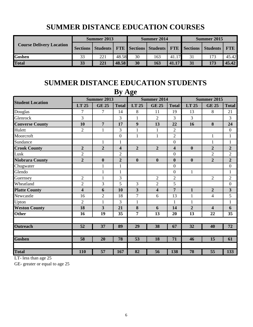| <b>Course Delivery Location</b> | Summer 2013 |     |       |    | Summer 2014 |       | Summer 2015 |                                                                                   |       |
|---------------------------------|-------------|-----|-------|----|-------------|-------|-------------|-----------------------------------------------------------------------------------|-------|
|                                 |             |     |       |    |             |       |             | Sections   Students   FTE   Sections   Students   FTE   Sections   Students   FTE |       |
| <b>Goshen</b>                   | 33          | 221 | 48.58 | 30 | 163         | 41.17 | 31          | 173                                                                               | 45.42 |
| <b>Total</b>                    | 33          | 221 | 48.58 | 30 | 163         | 41.17 | 31          | 173                                                                               | 45.42 |

## **SUMMER DISTANCE EDUCATION COURSES**

#### **SUMMER DISTANCE EDUCATION STUDENTS By Age**

| $\frac{1}{2}$ $\frac{1}{2}$ |                |                         |                         |                  |                         |                         |                    |                         |                  |  |  |  |
|-----------------------------|----------------|-------------------------|-------------------------|------------------|-------------------------|-------------------------|--------------------|-------------------------|------------------|--|--|--|
| <b>Student Location</b>     |                | Summer 2013             |                         |                  | <b>Summer 2014</b>      |                         | <b>Summer 2015</b> |                         |                  |  |  |  |
|                             | LT 25          | <b>GE 25</b>            | <b>Total</b>            | LT 25            | <b>GE 25</b>            | <b>Total</b>            | LT 25              | <b>GE 25</b>            | <b>Total</b>     |  |  |  |
| Douglas                     | 7              | 7                       | 14                      | 8                | 11                      | 19                      | 13                 | 8                       | 21               |  |  |  |
| Glenrock                    | 3              |                         | 3                       | 1                | $\overline{2}$          | $\overline{3}$          | 3                  |                         | 3                |  |  |  |
| <b>Converse County</b>      | 10             | 7                       | 17                      | 9                | 13                      | 22                      | 16                 | 8                       | 24               |  |  |  |
| Hulett                      | $\overline{2}$ | $\mathbf{1}$            | 3                       | $\mathbf{1}$     | $\mathbf{1}$            | $\overline{2}$          |                    |                         | $\boldsymbol{0}$ |  |  |  |
| Moorcroft                   |                |                         | $\overline{0}$          | $\mathbf{1}$     | $\mathbf{1}$            | $\overline{2}$          |                    | $\mathbf{1}$            | $\mathbf{1}$     |  |  |  |
| Sundance                    |                | $\mathbf{1}$            | $\mathbf{1}$            |                  |                         | $\boldsymbol{0}$        |                    | $\mathbf{1}$            | $\mathbf{1}$     |  |  |  |
| <b>Crook County</b>         | $\overline{2}$ | $\overline{2}$          | $\overline{\mathbf{4}}$ | $\overline{2}$   | $\overline{2}$          | $\overline{\mathbf{4}}$ | $\boldsymbol{0}$   | $\overline{2}$          | $\overline{2}$   |  |  |  |
| Lusk                        | $\overline{2}$ |                         | $\overline{2}$          |                  |                         | $\mathbf{0}$            |                    | $\overline{2}$          | $\overline{2}$   |  |  |  |
| <b>Niobrara County</b>      | $\overline{2}$ | $\boldsymbol{0}$        | $\overline{2}$          | $\boldsymbol{0}$ | $\boldsymbol{0}$        | $\boldsymbol{0}$        | $\boldsymbol{0}$   | $\overline{2}$          | $\overline{2}$   |  |  |  |
| Chugwater                   |                | $\mathbf{1}$            | $\mathbf{1}$            |                  |                         | $\boldsymbol{0}$        |                    |                         | $\boldsymbol{0}$ |  |  |  |
| Glendo                      |                | $\mathbf{1}$            | $\mathbf{1}$            |                  |                         | $\overline{0}$          | $\mathbf{1}$       |                         | $\mathbf{1}$     |  |  |  |
| Guernsey                    | $\overline{2}$ | $\mathbf{1}$            | 3                       |                  | $\overline{2}$          | $\overline{2}$          |                    | $\overline{2}$          | $\overline{2}$   |  |  |  |
| Wheatland                   | $\overline{2}$ | 3                       | 5                       | 3                | $\overline{2}$          | 5                       |                    |                         | $\boldsymbol{0}$ |  |  |  |
| <b>Platte County</b>        | 4              | 6                       | 10                      | 3                | $\overline{\mathbf{4}}$ | 7                       | $\mathbf{1}$       | $\overline{2}$          | $\mathbf{3}$     |  |  |  |
| Newcastle                   | 16             | $\overline{2}$          | 18                      | $\overline{7}$   | 6                       | 13                      | $\mathbf{1}$       | $\overline{4}$          | 5                |  |  |  |
| Upton                       | $\overline{2}$ | $\mathbf{1}$            | $\overline{3}$          | $\mathbf{1}$     |                         | $\mathbf{1}$            | $\mathbf{1}$       |                         | $\mathbf{1}$     |  |  |  |
| <b>Weston County</b>        | 18             | $\overline{\mathbf{3}}$ | 21                      | 8                | 6                       | 14                      | $\overline{2}$     | $\overline{\mathbf{4}}$ | 6                |  |  |  |
| <b>Other</b>                | 16             | 19                      | 35                      | 7                | 13                      | 20                      | 13                 | 22                      | 35               |  |  |  |
|                             |                |                         |                         |                  |                         |                         |                    |                         |                  |  |  |  |
| <b>Outreach</b>             | 52             | 37                      | 89                      | 29               | 38                      | 67                      | 32                 | 40                      | 72               |  |  |  |
|                             |                |                         |                         |                  |                         |                         |                    |                         |                  |  |  |  |
| <b>Goshen</b>               | 58             | 20                      | 78                      | 53               | 18                      | 71                      | 46                 | 15                      | 61               |  |  |  |
|                             |                |                         |                         |                  |                         |                         |                    |                         |                  |  |  |  |
| <b>Total</b>                | 110            | 57                      | 167                     | 82               | 56                      | 138                     | 78                 | 55                      | 133              |  |  |  |

LT- less than age 25

GE- greater or equal to age 25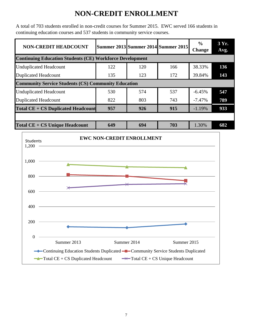## **NON-CREDIT ENROLLMENT**

A total of 703 students enrolled in non-credit courses for Summer 2015. EWC served 166 students in continuing education courses and 537 students in community service courses.

| <b>NON-CREDIT HEADCOUNT</b>                                     |     |     | <b>Summer 2013 Summer 2014 Summer 2015</b> | $\frac{6}{9}$<br><b>Change</b> | 3 Yr.<br>Avg. |  |  |  |  |  |
|-----------------------------------------------------------------|-----|-----|--------------------------------------------|--------------------------------|---------------|--|--|--|--|--|
| <b>Continuing Education Students (CE) Workforce Development</b> |     |     |                                            |                                |               |  |  |  |  |  |
| <b>Unduplicated Headcount</b>                                   | 122 | 120 | 166                                        | 38.33%                         | 136           |  |  |  |  |  |
| <b>Duplicated Headcount</b>                                     | 135 | 123 | 172                                        | 39.84%                         | 143           |  |  |  |  |  |
| <b>Community Service Students (CS) Community Education</b>      |     |     |                                            |                                |               |  |  |  |  |  |
| <b>Unduplicated Headcount</b>                                   | 530 | 574 | 537                                        | $-6.45%$                       | 547           |  |  |  |  |  |
| <b>Duplicated Headcount</b>                                     | 822 | 803 | 743                                        | $-7.47\%$                      | 789           |  |  |  |  |  |
| <b>Total CE + CS Duplicated Headcount</b>                       | 957 | 926 | 915                                        | $-1.19%$                       | 933           |  |  |  |  |  |
|                                                                 |     |     |                                            |                                |               |  |  |  |  |  |
| $Total CE + CS Unique Headcount$                                | 649 | 694 | 703                                        | 1.30%                          | 682           |  |  |  |  |  |

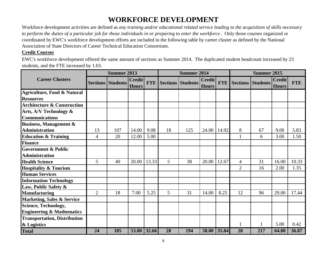# **WORKFORCE DEVELOPMENT**

Workforce development activities are defined as *any training and/or educational related service leading to the acquisition of skills necessary to perform the duties of a particular job for those individuals in or preparing to enter the workforce* . Only those courses organized or coordinated by EWC's workforce development efforts are included in the following table by career cluster as defined by the National Association of State Directors of Career Technical Education Consortium.

#### **Credit Courses**

EWC's workforce development offered the same amount of sections as Summer 2014. The duplicated student headcount increased by 23 students, and the FTE increased by 1.03.

|                                        | <b>Summer 2013</b> |                          |                               |            |    | <b>Summer 2014</b>       |                               |            |                | <b>Summer 2015</b> |                               |            |  |
|----------------------------------------|--------------------|--------------------------|-------------------------------|------------|----|--------------------------|-------------------------------|------------|----------------|--------------------|-------------------------------|------------|--|
| <b>Career Clusters</b>                 |                    | <b>Sections Students</b> | <b>Credit</b><br><b>Hours</b> | <b>FTE</b> |    | <b>Sections Students</b> | <b>Credit</b><br><b>Hours</b> | <b>FTE</b> |                | Sections Students  | <b>Credit</b><br><b>Hours</b> | <b>FTE</b> |  |
| Agriculture, Food & Natural            |                    |                          |                               |            |    |                          |                               |            |                |                    |                               |            |  |
| <b>Resources</b>                       |                    |                          |                               |            |    |                          |                               |            |                |                    |                               |            |  |
| <b>Architecture &amp; Construction</b> |                    |                          |                               |            |    |                          |                               |            |                |                    |                               |            |  |
| Arts, A/V Technology &                 |                    |                          |                               |            |    |                          |                               |            |                |                    |                               |            |  |
| <b>Communications</b>                  |                    |                          |                               |            |    |                          |                               |            |                |                    |                               |            |  |
| <b>Business, Management &amp;</b>      |                    |                          |                               |            |    |                          |                               |            |                |                    |                               |            |  |
| <b>Administration</b>                  | 13                 | 107                      | 14.00                         | 9.08       | 18 | 125                      | 24.00                         | 14.92      | 8              | 67                 | 9.00                          | 5.83       |  |
| <b>Education &amp; Training</b>        | 4                  | 20                       | 12.00                         | 5.00       |    |                          |                               |            | 1              | 6                  | 3.00                          | 1.50       |  |
| <b>Finance</b>                         |                    |                          |                               |            |    |                          |                               |            |                |                    |                               |            |  |
| <b>Government &amp; Public</b>         |                    |                          |                               |            |    |                          |                               |            |                |                    |                               |            |  |
| <b>Administration</b>                  |                    |                          |                               |            |    |                          |                               |            |                |                    |                               |            |  |
| <b>Health Science</b>                  | 5                  | 40                       | 20.00                         | 13.33      | 5  | 38                       | 20.00                         | 12.67      | 4              | 31                 | 16.00                         | 10.33      |  |
| <b>Hospitality &amp; Tourism</b>       |                    |                          |                               |            |    |                          |                               |            | $\overline{2}$ | 16                 | 2.00                          | 1.35       |  |
| <b>Human Services</b>                  |                    |                          |                               |            |    |                          |                               |            |                |                    |                               |            |  |
| <b>Information Technology</b>          |                    |                          |                               |            |    |                          |                               |            |                |                    |                               |            |  |
| Law, Public Safety &                   |                    |                          |                               |            |    |                          |                               |            |                |                    |                               |            |  |
| <b>Manufacturing</b>                   | 2                  | 18                       | 7.00                          | 5.25       | 5  | 31                       | 14.00                         | 8.25       | 12             | 96                 | 29.00                         | 17.44      |  |
| <b>Marketing, Sales &amp; Service</b>  |                    |                          |                               |            |    |                          |                               |            |                |                    |                               |            |  |
| <b>Science, Technology,</b>            |                    |                          |                               |            |    |                          |                               |            |                |                    |                               |            |  |
| <b>Engineering &amp; Mathematics</b>   |                    |                          |                               |            |    |                          |                               |            |                |                    |                               |            |  |
| <b>Transportation, Distribution</b>    |                    |                          |                               |            |    |                          |                               |            |                |                    |                               |            |  |
| & Logistics                            |                    |                          |                               |            |    |                          |                               |            | 1              |                    | 5.00                          | 0.42       |  |
| <b>Total</b>                           | 24                 | 185                      | 53.00                         | 32.66      | 28 | 194                      | 58.00                         | 35.84      | 28             | 217                | 64.00                         | 36.87      |  |